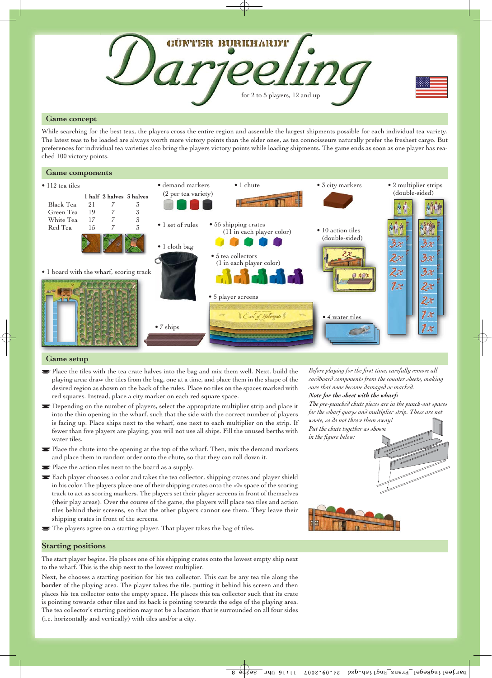

#### **Game concept**

While searching for the best teas, the players cross the entire region and assemble the largest shipments possible for each individual tea variety. The latest teas to be loaded are always worth more victory points than the older ones, as tea connoisseurs naturally prefer the freshest cargo. But preferences for individual tea varieties also bring the players victory points while loading shipments. The game ends as soon as one player has reached 100 victory points.



#### **Game setup**

- Place the tiles with the tea crate halves into the bag and mix them well. Next, build the <sup>p</sup>laying area: draw the tiles from the bag, one at a time, and place them in the shape of the desired region as shown on the back of the rules. Place no tiles on the spaces marked with red squares. Instead, place a city marker on each red square space.
- Depending on the number of players, select the appropriate multiplier strip and place it into the thin opening in the wharf, such that the side with the correct number of players is facing up. Place ships next to the wharf, one next to each multiplier on the strip. If fewer than five players are playing, you will not use all ships. Fill the unused berths with water tiles.
- Place the chute into the opening at the top of the wharf. Then, mix the demand markers and place them in random order onto the chute, so that they can roll down it.
- Place the action tiles next to the board as a supply.
- Each player chooses a color and takes the tea collector, shipping crates and player shield in his color.The players place one of their shipping crates onto the »0« space of the scoring track to act as scoring markers. The players set their player screens in front of themselves (their play areas). Over the course of the game, the players will place tea tiles and action tiles behind their screens, so that the other players cannot see them. They leave their shipping crates in front of the screens.
- The players agree on a starting player. That player takes the bag of tiles.

*Before playing for the first time, carefully remove all cardboard components from the counter sheets, making sure that none become damaged or marked. Note for the sheet with the wharf:*

# *The pre-punched chute pieces are in the punch-out spaces for the wharf quays and multiplier strip. These are not waste, so do not throw them away!*

*Put the chute together as shown in the figure below:*



#### **Starting positions**

The start player begins. He places one of his shipping crates onto the lowest empty ship next to the wharf. This is the ship next to the lowest multiplier.

Next, he chooses a starting position for his tea collector. This can be any tea tile along the **border** of the playing area. The player takes the tile, putting it behind his screen and then <sup>p</sup>laces his tea collector onto the empty space. He places this tea collector such that its crate is pointing towards other tiles and its back is pointing towards the edge of the playing area. The tea collector's starting position may not be a location that is surrounded on all four sides (i.e. horizontally and vertically) with tiles and/or a city.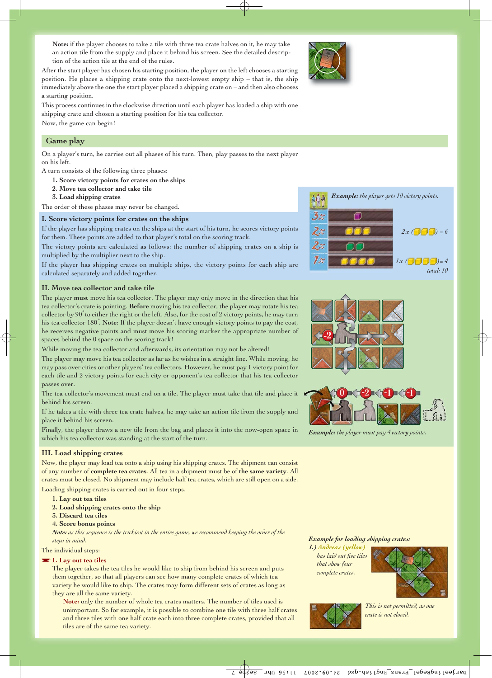**Note:** if the player chooses to take a tile with three tea crate halves on it, he may take an action tile from the supply and place it behind his screen. See the detailed description of the action tile at the end of the rules.

After the start player has chosen his starting position, the player on the left chooses a starting position. He places a shipping crate onto the next-lowest empty ship – that is, the ship immediately above the one the start player placed a shipping crate on – and then also chooses a starting position.



This process continues in the clockwise direction until each player has loaded a ship with one shipping crate and chosen a starting position for his tea collector.

Now, the game can begin!

# **Game play**

On a player's turn, he carries out all phases of his turn. Then, play passes to the next player on his left.

A turn consists of the following three phases:

- **1. Score victory points for crates on the ships**
- **2. Move tea collector and take tile**
- **3. Load shipping crates**

The order of these phases may never be changed.

## **I. Score victory points for crates on the ships**

If the player has shipping crates on the ships at the start of his turn, he scores victory points for them. These points are added to that player's total on the scoring track.

The victory points are calculated as follows: the number of shipping crates on a ship is multiplied by the multiplier next to the ship.

If the player has shipping crates on multiple ships, the victory points for each ship are calculated separately and added together.

## **II. Move tea collector and take tile**

The player **must** move his tea collector. The player may only move in the direction that his tea collector's crate is pointing. **Before** moving his tea collector, the player may rotate his tea collector by 90° to either the right or the left. Also, for the cost of 2 victory points, he may turn his tea collector 180<sup>°</sup>. Note: If the player doesn't have enough victory points to pay the cost, he receives negative points and must move his scoring marker the appropriate number of spaces behind the 0 space on the scoring track!

While moving the tea collector and afterwards, its orientation may not be altered!

The player may move his tea collector as far as he wishes in a straight line. While moving, he may pass over cities or other players' tea collectors. However, he must pay 1 victory point for each tile and 2 victory points for each city or opponent's tea collector that his tea collector passes over.

The tea collector's movement must end on a tile. The player must take that tile and place it behind his screen.

If he takes a tile with three tea crate halves, he may take an action tile from the supply and <sup>p</sup>lace it behind his screen.

Finally, the player draws a new tile from the bag and places it into the now-open space in which his tea collector was standing at the start of the turn.

#### **III. Load shipping crates**

Now, the player may load tea onto a ship using his shipping crates. The shipment can consist of any number of **complete tea crates**. All tea in a shipment must be of **the same variety**. All crates must be closed. No shipment may include half tea crates, which are still open on a side.

Loading shipping crates is carried out in four steps.

- **1. Lay out tea tiles**
- **2. Load shipping crates onto the ship**
- **3. Discard tea tiles**
- **4. Score bonus points**

*Note: as this sequence is the trickiest in the entire game, we recommend keeping the order of the steps in mind.*

The individual steps:

#### **1. Lay out tea tiles**

The player takes the tea tiles he would like to ship from behind his screen and puts them together, so that all players can see how many complete crates of which tea variety he would like to ship. The crates may form different sets of crates as long as they are all the same variety.

**Note:** only the number of whole tea crates matters. The number of tiles used is unimportant. So for example, it is possible to combine one tile with three half crates and three tiles with one half crate each into three complete crates, provided that all tiles are of the same tea variety.

# *Example: the player gets 10 victory points.*  $3x$  $2x$  $2x(\Box) = 6$  $2x$  $7x$  $1x$  ( $0$   $0$   $) = 4$ *total: 10*





*Example: the player must pay 4 victory points.*

*Example for loading shipping crates:*

*1.) Andreas (yellow) has laid out five tiles that show four complete crates.*





*This is not permitted, as one crate is not closed.*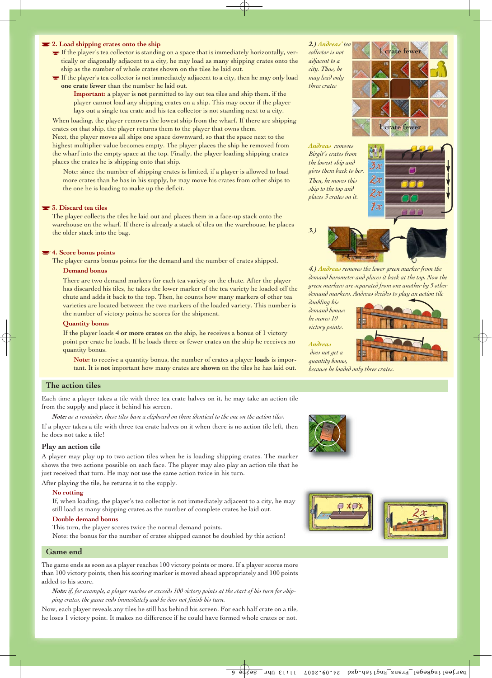#### **2. Load shipping crates onto the ship**

- If the player's tea collector is standing on a space that is immediately horizontally, vertically or diagonally adjacent to a city, he may load as many shipping crates onto the ship as the number of whole crates shown on the tiles he laid out.
- If the player's tea collector is not immediately adjacent to a city, then he may only load **one crate fewer** than the number he laid out.

**Important:** a player is **not** permitted to lay out tea tiles and ship them, if the <sup>p</sup>layer cannot load any shipping crates on a ship. This may occur if the player lays out a single tea crate and his tea collector is not standing next to a city.

When loading, the player removes the lowest ship from the wharf. If there are shipping crates on that ship, the player returns them to the player that owns them.

Next, the player moves all ships one space downward, so that the space next to the highest multiplier value becomes empty. The player places the ship he removed from the wharf into the empty space at the top. Finally, the player loading shipping crates <sup>p</sup>laces the crates he is shipping onto that ship.

Note: since the number of shipping crates is limited, if a player is allowed to load more crates than he has in his supply, he may move his crates from other ships to the one he is loading to make up the deficit.

# **3. Discard tea tiles**

The player collects the tiles he laid out and places them in a face-up stack onto the warehouse on the wharf. If there is already a stack of tiles on the warehouse, he places the older stack into the bag.

#### **4. Score bonus points**

The player earns bonus points for the demand and the number of crates shipped.

# **Demand bonus**

There are two demand markers for each tea variety on the chute. After the player has discarded his tiles, he takes the lower marker of the tea variety he loaded off the chute and adds it back to the top. Then, he counts how many markers of other tea varieties are located between the two markers of the loaded variety. This number is the number of victory points he scores for the shipment.

#### **Quantity bonus**

If the player loads **4 or more crates** on the ship, he receives a bonus of 1 victory point per crate he loads. If he loads three or fewer crates on the ship he receives no quantity bonus.

**Note:** to receive a quantity bonus, the number of crates a player **loads** is important. It is **not** important how many crates are **shown** on the tiles he has laid out.

### **The action tiles**

Each time a player takes a tile with three tea crate halves on it, he may take an action tile from the supply and place it behind his screen.

*Note: as a reminder, these tiles have a clipboard on them identical to the one on the action tiles.*

If a player takes a tile with three tea crate halves on it when there is no action tile left, then he does not take a tile!

## **Play an action tile**

A player may play up to two action tiles when he is loading shipping crates. The marker shows the two actions possible on each face. The player may also play an action tile that he just received that turn. He may not use the same action twice in his turn.

After playing the tile, he returns it to the supply.

#### **No rotting**

If, when loading, the player's tea collector is not immediately adjacent to a city, he may still load as many shipping crates as the number of complete crates he laid out.

#### **Double demand bonus**

This turn, the player scores twice the normal demand points. Note: the bonus for the number of crates shipped cannot be doubled by this action!

#### **Game end**

The game ends as soon as a player reaches 100 victory points or more. If a player scores more than 100 victory points, then his scoring marker is moved ahead appropriately and 100 points added to his score.

*Note: if, for example, a player reaches or exceeds 100 victory points at the start of his turn for ship<sup>p</sup>ing crates, the game ends immediately and he does not finish his turn.*

Now, each player reveals any tiles he still has behind his screen. For each half crate on a tile, he loses 1 victory point. It makes no difference if he could have formed whole crates or not.



*Andreas removes Birgit's crates from the lowest ship and <sup>g</sup>ives them back to her. Then, he moves this ship to the top and <sup>p</sup>laces 3 crates on it.*



*3.)*

*4.) Andreas removes the lower green marker from the demand barometer and places it back at the top. Now the green markers are separated from one another by 5 other demand markers. Andreas decides to play an action tile*

*doubling his demand bonus: he scores 10 victory points.*

*Andreas does not get a quantity bonus, because he loaded only three crates.*





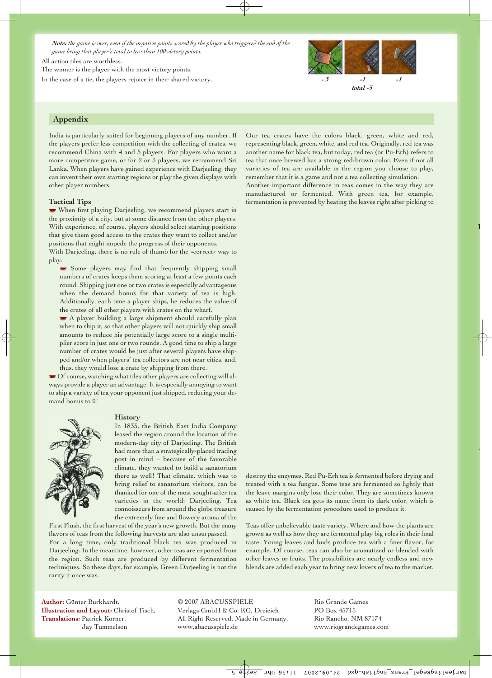*Note: the game is over, even if the negative points scored by the player who triggered the end of the game bring that player's total to less than 100 victory points.*

All action tiles are worthless.

The winner is the player with the most victory points.

In the case of a tie, the players rejoice in their shared victory.



# **Appendix**

India is particularly suited for beginning players of any number. If the players prefer less competition with the collecting of crates, we recommend China with 4 and 5 players. For players who want a more competitive game, or for 2 or 3 players, we recommend Sri Lanka. When players have gained experience with Darjeeling, they can invent their own starting regions or play the given displays with other player numbers.

#### **Tactical Tips**

When first playing Darjeeling, we recommend players start in the proximity of a city, but at some distance from the other players. With experience, of course, players should select starting positions that give them good access to the crates they want to collect and/or positions that might impede the progress of their opponents.

With Darjeeling, there is no rule of thumb for the »correct« way to <sup>p</sup>lay.

Some players may find that frequently shipping small numbers of crates keeps them scoring at least a few points each round. Shipping just one or two crates is especially advantageous when the demand bonus for that variety of tea is high. Additionally, each time a player ships, he reduces the value of the crates of all other players with crates on the wharf.

A player building a large shipment should carefully plan when to ship it, so that other players will not quickly ship small amounts to reduce his potentially large score to a single multi<sup>p</sup>lier score in just one or two rounds. A good time to ship a large number of crates would be just after several players have shipped and/or when players' tea collectors are not near cities, and, thus, they would lose a crate by shipping from there.

Of course, watching what tiles other players are collecting will always provide a player an advantage. It is especially annoying to want to ship a variety of tea your opponent just shipped, reducing your demand bonus to 0!



#### **History**

In 1835, the British East India Company leased the region around the location of the modern-day city of Darjeeling. The British had more than a strategically-placed trading post in mind – because of the favorable climate, they wanted to build a sanatorium there as well! That climate, which was to bring relief to sanatorium visitors, can be thanked for one of the most sought-after tea varieties in the world: Darjeeling. Tea connoisseurs from around the globe treasure the extremely fine and flowery aroma of the

First Flush, the first harvest of the year's new growth. But the many flavors of teas from the following harvests are also unsurpassed. For a long time, only traditional black tea was produced in Darjeeling. In the meantime, however, other teas are exported from the region. Such teas are produced by different fermentation techniques. So these days, for example, Green Darjeeling is not the rarity it once was.

Our tea crates have the colors black, green, white and red, representing black, green, white, and red tea. Originally, red tea was another name for black tea, but today, red tea (or Pu-Erh) refers to tea that once brewed has a strong red-brown color. Even if not all varieties of tea are available in the region you choose to play, remember that it is a game and not a tea collecting simulation.

Another important difference in teas comes in the way they are manufactured or fermented. With green tea, for example, fermentation is prevented by heating the leaves right after picking to

destroy the enzymes. Red Pu-Erh tea is fermented before drying and treated with a tea fungus. Some teas are fermented so lightly that the leave margins only lose their color. They are sometimes known as white tea. Black tea gets its name from its dark color, which is caused by the fermentation procedure used to produce it.

Teas offer unbelievable taste variety. Where and how the plants are grown as well as how they are fermented play big roles in their final taste. Young leaves and buds produce tea with a finer flavor, for example. Of course, teas can also be aromatized or blended with other leaves or fruits. The possibilities are nearly endless and new blends are added each year to bring new lovers of tea to the market.

**Author:** Günter Burkhardt, **Illustration and Layout:** Christof Tisch, **Translations:** Patrick Korner, Jay Tummelson

© 2007 ABACUSSPIELE Verlags GmbH & Co. KG, Dreieich All Right Reserved. Made in Germany. www.abacusspiele.de

Rio Grande Games PO Box 45715 Rio Rancho, NM 87174 www.riograndegames.com